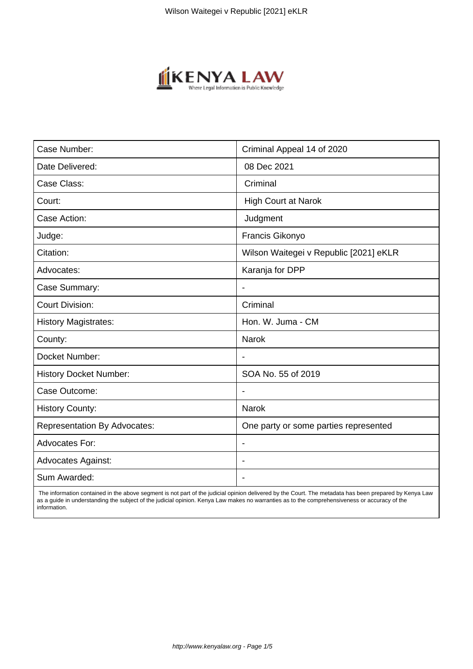

| Case Number:                        | Criminal Appeal 14 of 2020             |
|-------------------------------------|----------------------------------------|
| Date Delivered:                     | 08 Dec 2021                            |
| Case Class:                         | Criminal                               |
| Court:                              | <b>High Court at Narok</b>             |
| Case Action:                        | Judgment                               |
| Judge:                              | Francis Gikonyo                        |
| Citation:                           | Wilson Waitegei v Republic [2021] eKLR |
| Advocates:                          | Karanja for DPP                        |
| Case Summary:                       |                                        |
| <b>Court Division:</b>              | Criminal                               |
| <b>History Magistrates:</b>         | Hon. W. Juma - CM                      |
| County:                             | <b>Narok</b>                           |
| Docket Number:                      |                                        |
| <b>History Docket Number:</b>       | SOA No. 55 of 2019                     |
| Case Outcome:                       | $\blacksquare$                         |
| <b>History County:</b>              | <b>Narok</b>                           |
| <b>Representation By Advocates:</b> | One party or some parties represented  |
| <b>Advocates For:</b>               | $\overline{\phantom{a}}$               |
| <b>Advocates Against:</b>           |                                        |
| Sum Awarded:                        |                                        |

 The information contained in the above segment is not part of the judicial opinion delivered by the Court. The metadata has been prepared by Kenya Law as a guide in understanding the subject of the judicial opinion. Kenya Law makes no warranties as to the comprehensiveness or accuracy of the information.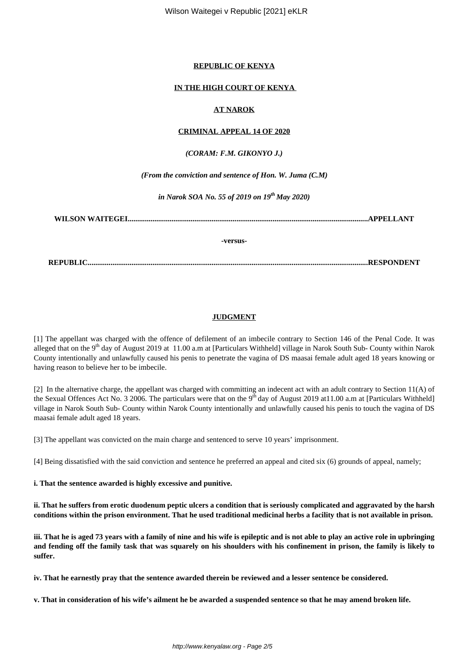### **REPUBLIC OF KENYA**

# **IN THE HIGH COURT OF KENYA**

# **AT NAROK**

### **CRIMINAL APPEAL 14 OF 2020**

# *(CORAM: F.M. GIKONYO J.)*

*(From the conviction and sentence of Hon. W. Juma (C.M)*

*in Narok SOA No. 55 of 2019 on 19th May 2020)*

**WILSON WAITEGEI..............................................................................................................................APPELLANT**

#### **-versus-**

**REPUBLIC...................................................................................................................................................RESPONDENT**

# **JUDGMENT**

[1] The appellant was charged with the offence of defilement of an imbecile contrary to Section 146 of the Penal Code. It was alleged that on the 9<sup>th</sup> day of August 2019 at 11.00 a.m at [Particulars Withheld] village in Narok South Sub- County within Narok County intentionally and unlawfully caused his penis to penetrate the vagina of DS maasai female adult aged 18 years knowing or having reason to believe her to be imbecile.

[2] In the alternative charge, the appellant was charged with committing an indecent act with an adult contrary to Section 11(A) of the Sexual Offences Act No. 3 2006. The particulars were that on the 9<sup>th</sup> day of August 2019 at 11.00 a.m at [Particulars Withheld] village in Narok South Sub- County within Narok County intentionally and unlawfully caused his penis to touch the vagina of DS maasai female adult aged 18 years.

[3] The appellant was convicted on the main charge and sentenced to serve 10 years' imprisonment.

[4] Being dissatisfied with the said conviction and sentence he preferred an appeal and cited six (6) grounds of appeal, namely;

**i. That the sentence awarded is highly excessive and punitive.**

**ii. That he suffers from erotic duodenum peptic ulcers a condition that is seriously complicated and aggravated by the harsh conditions within the prison environment. That he used traditional medicinal herbs a facility that is not available in prison.**

**iii. That he is aged 73 years with a family of nine and his wife is epileptic and is not able to play an active role in upbringing and fending off the family task that was squarely on his shoulders with his confinement in prison, the family is likely to suffer.**

**iv. That he earnestly pray that the sentence awarded therein be reviewed and a lesser sentence be considered.**

**v. That in consideration of his wife's ailment he be awarded a suspended sentence so that he may amend broken life.**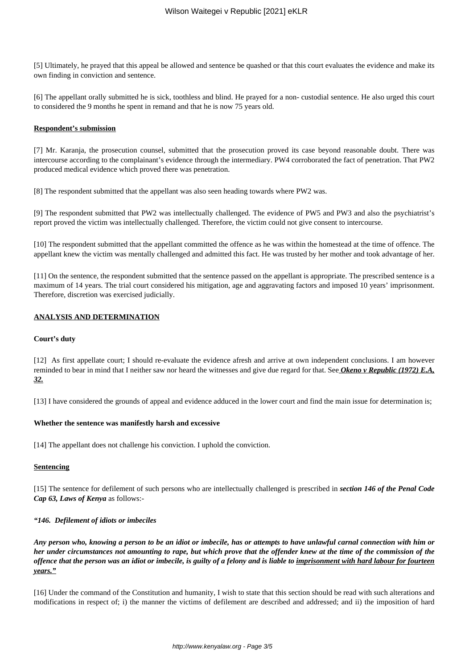[5] Ultimately, he prayed that this appeal be allowed and sentence be quashed or that this court evaluates the evidence and make its own finding in conviction and sentence.

[6] The appellant orally submitted he is sick, toothless and blind. He prayed for a non- custodial sentence. He also urged this court to considered the 9 months he spent in remand and that he is now 75 years old.

#### **Respondent's submission**

[7] Mr. Karanja, the prosecution counsel, submitted that the prosecution proved its case beyond reasonable doubt. There was intercourse according to the complainant's evidence through the intermediary. PW4 corroborated the fact of penetration. That PW2 produced medical evidence which proved there was penetration.

[8] The respondent submitted that the appellant was also seen heading towards where PW2 was.

[9] The respondent submitted that PW2 was intellectually challenged. The evidence of PW5 and PW3 and also the psychiatrist's report proved the victim was intellectually challenged. Therefore, the victim could not give consent to intercourse.

[10] The respondent submitted that the appellant committed the offence as he was within the homestead at the time of offence. The appellant knew the victim was mentally challenged and admitted this fact. He was trusted by her mother and took advantage of her.

[11] On the sentence, the respondent submitted that the sentence passed on the appellant is appropriate. The prescribed sentence is a maximum of 14 years. The trial court considered his mitigation, age and aggravating factors and imposed 10 years' imprisonment. Therefore, discretion was exercised judicially.

### **ANALYSIS AND DETERMINATION**

#### **Court's duty**

[12] As first appellate court; I should re-evaluate the evidence afresh and arrive at own independent conclusions. I am however reminded to bear in mind that I neither saw nor heard the witnesses and give due regard for that. See *Okeno v Republic (1972) E.A, 32.*

[13] I have considered the grounds of appeal and evidence adduced in the lower court and find the main issue for determination is;

#### **Whether the sentence was manifestly harsh and excessive**

[14] The appellant does not challenge his conviction. I uphold the conviction.

### **Sentencing**

[15] The sentence for defilement of such persons who are intellectually challenged is prescribed in *section 146 of the Penal Code Cap 63, Laws of Kenya* as follows:-

### *"146. Defilement of idiots or imbeciles*

*Any person who, knowing a person to be an idiot or imbecile, has or attempts to have unlawful carnal connection with him or her under circumstances not amounting to rape, but which prove that the offender knew at the time of the commission of the offence that the person was an idiot or imbecile, is guilty of a felony and is liable to imprisonment with hard labour for fourteen years."*

[16] Under the command of the Constitution and humanity, I wish to state that this section should be read with such alterations and modifications in respect of; i) the manner the victims of defilement are described and addressed; and ii) the imposition of hard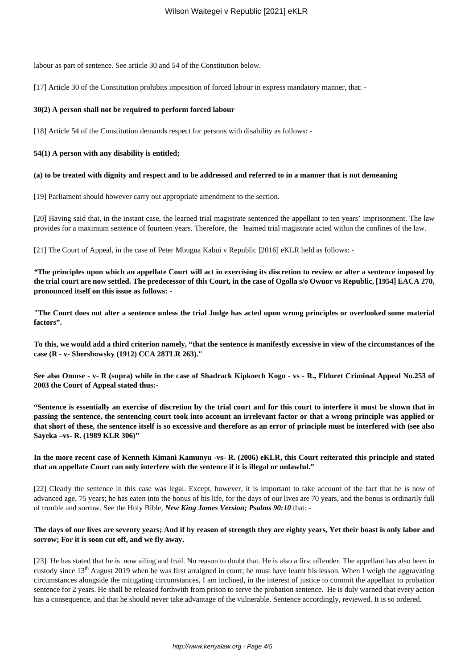labour as part of sentence. See article 30 and 54 of the Constitution below.

[17] Article 30 of the Constitution prohibits imposition of forced labour in express mandatory manner, that: -

#### **30(2) A person shall not be required to perform forced labour**

[18] Article 54 of the Constitution demands respect for persons with disability as follows: -

#### **54(1) A person with any disability is entitled;**

#### **(a) to be treated with dignity and respect and to be addressed and referred to in a manner that is not demeaning**

[19] Parliament should however carry out appropriate amendment to the section.

[20] Having said that, in the instant case, the learned trial magistrate sentenced the appellant to ten years' imprisonment. The law provides for a maximum sentence of fourteen years. Therefore, the learned trial magistrate acted within the confines of the law.

[21] The Court of Appeal, in the case of Peter Mbugua Kabui v Republic [2016] eKLR held as follows: -

*"***The principles upon which an appellate Court will act in exercising its discretion to review or alter a sentence imposed by the trial court are now settled. The predecessor of this Court, in the case of Ogolla s/o Owuor vs Republic, [1954] EACA 270, pronounced itself on this issue as follows: -**

**"The Court does not alter a sentence unless the trial Judge has acted upon wrong principles or overlooked some material factors".**

**To this, we would add a third criterion namely, "that the sentence is manifestly excessive in view of the circumstances of the case (R - v- Shershowsky (1912) CCA 28TLR 263)."**

**See also Omuse - v- R (supra) while in the case of Shadrack Kipkoech Kogo - vs - R., Eldoret Criminal Appeal No.253 of 2003 the Court of Appeal stated thus:-**

**"Sentence is essentially an exercise of discretion by the trial court and for this court to interfere it must be shown that in passing the sentence, the sentencing court took into account an irrelevant factor or that a wrong principle was applied or that short of these, the sentence itself is so excessive and therefore as an error of principle must be interfered with (see also Sayeka –vs- R. (1989 KLR 306)"**

### **In the more recent case of Kenneth Kimani Kamunyu -vs- R. (2006) eKLR, this Court reiterated this principle and stated that an appellate Court can only interfere with the sentence if it is illegal or unlawful."**

[22] Clearly the sentence in this case was legal. Except, however, it is important to take account of the fact that he is now of advanced age, 75 years; he has eaten into the bonus of his life, for the days of our lives are 70 years, and the bonus is ordinarily full of trouble and sorrow. See the Holy Bible, *New King James Version; Psalms 90:10* that: -

### **The days of our lives are seventy years; And if by reason of strength they are eighty years, Yet their boast is only labor and sorrow; For it is soon cut off, and we fly away.**

[23] He has stated that he is now ailing and frail. No reason to doubt that. He is also a first offender. The appellant has also been in custody since  $13<sup>th</sup>$  August 2019 when he was first arraigned in court; he must have learnt his lesson. When I weigh the aggravating circumstances alongside the mitigating circumstances, I am inclined, in the interest of justice to commit the appellant to probation sentence for 2 years. He shall be released forthwith from prison to serve the probation sentence. He is duly warned that every action has a consequence, and that he should never take advantage of the vulnerable. Sentence accordingly, reviewed. It is so ordered.